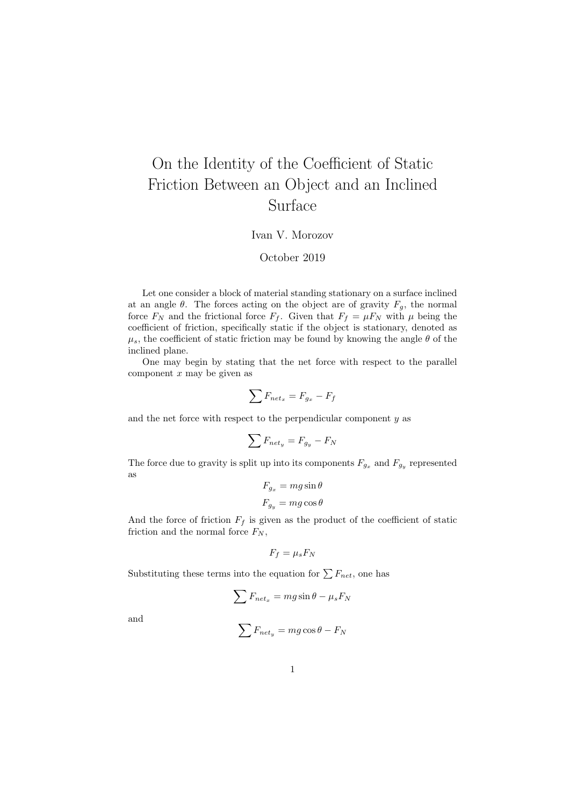## On the Identity of the Coefficient of Static Friction Between an Object and an Inclined Surface

## Ivan V. Morozov

## October 2019

Let one consider a block of material standing stationary on a surface inclined at an angle  $\theta$ . The forces acting on the object are of gravity  $F_g$ , the normal force  $F_N$  and the frictional force  $F_f$ . Given that  $F_f = \mu F_N$  with  $\mu$  being the coefficient of friction, specifically static if the object is stationary, denoted as  $\mu_s$ , the coefficient of static friction may be found by knowing the angle  $\theta$  of the inclined plane.

One may begin by stating that the net force with respect to the parallel component  $x$  may be given as

$$
\sum F_{net_x} = F_{g_x} - F_f
$$

and the net force with respect to the perpendicular component y as

$$
\sum F_{net_y} = F_{g_y} - F_N
$$

The force due to gravity is split up into its components  $F_{g_x}$  and  $F_{g_y}$  represented as

$$
F_{g_x} = mg \sin \theta
$$
  

$$
F_{g_y} = mg \cos \theta
$$

And the force of friction  $F_f$  is given as the product of the coefficient of static friction and the normal force  $F_N$ ,

$$
F_f = \mu_s F_N
$$

Substituting these terms into the equation for  $\sum F_{net}$ , one has

$$
\sum F_{net_x} = mg\sin\theta - \mu_s F_N
$$

and

$$
\sum F_{net_y} = mg\cos\theta - F_N
$$